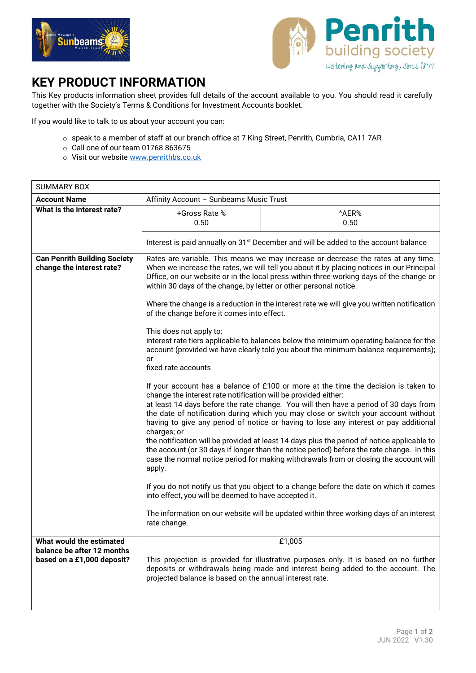



## **KEY PRODUCT INFORMATION**

This Key products information sheet provides full details of the account available to you. You should read it carefully together with the Society's Terms & Conditions for Investment Accounts booklet.

If you would like to talk to us about your account you can:

- o speak to a member of staff at our branch office at 7 King Street, Penrith, Cumbria, CA11 7AR
- $\circ$  Call one of our team 01768 863675
- o Visit our website www.penrithbs.co.uk

| <b>SUMMARY BOX</b>                                                                   |                                                                                                                                                                                                                                                                                                                                                                                                                                                                                            |                                                                                                                                                                                                                                                                                                                                                                                                                                                                                                                                                                                                                                              |
|--------------------------------------------------------------------------------------|--------------------------------------------------------------------------------------------------------------------------------------------------------------------------------------------------------------------------------------------------------------------------------------------------------------------------------------------------------------------------------------------------------------------------------------------------------------------------------------------|----------------------------------------------------------------------------------------------------------------------------------------------------------------------------------------------------------------------------------------------------------------------------------------------------------------------------------------------------------------------------------------------------------------------------------------------------------------------------------------------------------------------------------------------------------------------------------------------------------------------------------------------|
| <b>Account Name</b>                                                                  | Affinity Account - Sunbeams Music Trust                                                                                                                                                                                                                                                                                                                                                                                                                                                    |                                                                                                                                                                                                                                                                                                                                                                                                                                                                                                                                                                                                                                              |
| What is the interest rate?                                                           | +Gross Rate %<br>0.50                                                                                                                                                                                                                                                                                                                                                                                                                                                                      | ^AER%<br>0.50                                                                                                                                                                                                                                                                                                                                                                                                                                                                                                                                                                                                                                |
|                                                                                      | Interest is paid annually on 31 <sup>st</sup> December and will be added to the account balance                                                                                                                                                                                                                                                                                                                                                                                            |                                                                                                                                                                                                                                                                                                                                                                                                                                                                                                                                                                                                                                              |
| <b>Can Penrith Building Society</b><br>change the interest rate?                     | Rates are variable. This means we may increase or decrease the rates at any time.<br>When we increase the rates, we will tell you about it by placing notices in our Principal<br>Office, on our website or in the local press within three working days of the change or<br>within 30 days of the change, by letter or other personal notice.<br>Where the change is a reduction in the interest rate we will give you written notification<br>of the change before it comes into effect. |                                                                                                                                                                                                                                                                                                                                                                                                                                                                                                                                                                                                                                              |
|                                                                                      | This does not apply to:<br>or<br>fixed rate accounts                                                                                                                                                                                                                                                                                                                                                                                                                                       | interest rate tiers applicable to balances below the minimum operating balance for the<br>account (provided we have clearly told you about the minimum balance requirements);                                                                                                                                                                                                                                                                                                                                                                                                                                                                |
|                                                                                      | change the interest rate notification will be provided either:<br>charges; or<br>apply.                                                                                                                                                                                                                                                                                                                                                                                                    | If your account has a balance of £100 or more at the time the decision is taken to<br>at least 14 days before the rate change. You will then have a period of 30 days from<br>the date of notification during which you may close or switch your account without<br>having to give any period of notice or having to lose any interest or pay additional<br>the notification will be provided at least 14 days plus the period of notice applicable to<br>the account (or 30 days if longer than the notice period) before the rate change. In this<br>case the normal notice period for making withdrawals from or closing the account will |
|                                                                                      | into effect, you will be deemed to have accepted it.                                                                                                                                                                                                                                                                                                                                                                                                                                       | If you do not notify us that you object to a change before the date on which it comes                                                                                                                                                                                                                                                                                                                                                                                                                                                                                                                                                        |
|                                                                                      | rate change.                                                                                                                                                                                                                                                                                                                                                                                                                                                                               | The information on our website will be updated within three working days of an interest                                                                                                                                                                                                                                                                                                                                                                                                                                                                                                                                                      |
| What would the estimated<br>balance be after 12 months<br>based on a £1,000 deposit? | projected balance is based on the annual interest rate.                                                                                                                                                                                                                                                                                                                                                                                                                                    | £1,005<br>This projection is provided for illustrative purposes only. It is based on no further<br>deposits or withdrawals being made and interest being added to the account. The                                                                                                                                                                                                                                                                                                                                                                                                                                                           |